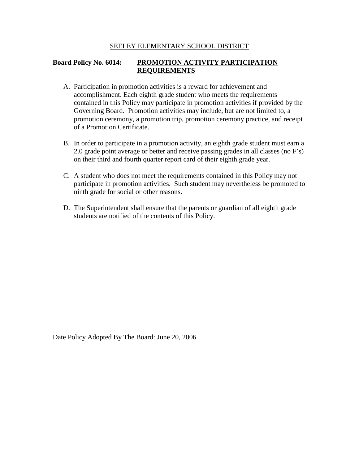#### SEELEY ELEMENTARY SCHOOL DISTRICT

### **Board Policy No. 6014: PROMOTION ACTIVITY PARTICIPATION REQUIREMENTS**

- A. Participation in promotion activities is a reward for achievement and accomplishment. Each eighth grade student who meets the requirements contained in this Policy may participate in promotion activities if provided by the Governing Board. Promotion activities may include, but are not limited to, a promotion ceremony, a promotion trip, promotion ceremony practice, and receipt of a Promotion Certificate.
- B. In order to participate in a promotion activity, an eighth grade student must earn a 2.0 grade point average or better and receive passing grades in all classes (no F's) on their third and fourth quarter report card of their eighth grade year.
- C. A student who does not meet the requirements contained in this Policy may not participate in promotion activities. Such student may nevertheless be promoted to ninth grade for social or other reasons.
- D. The Superintendent shall ensure that the parents or guardian of all eighth grade students are notified of the contents of this Policy.

Date Policy Adopted By The Board: June 20, 2006